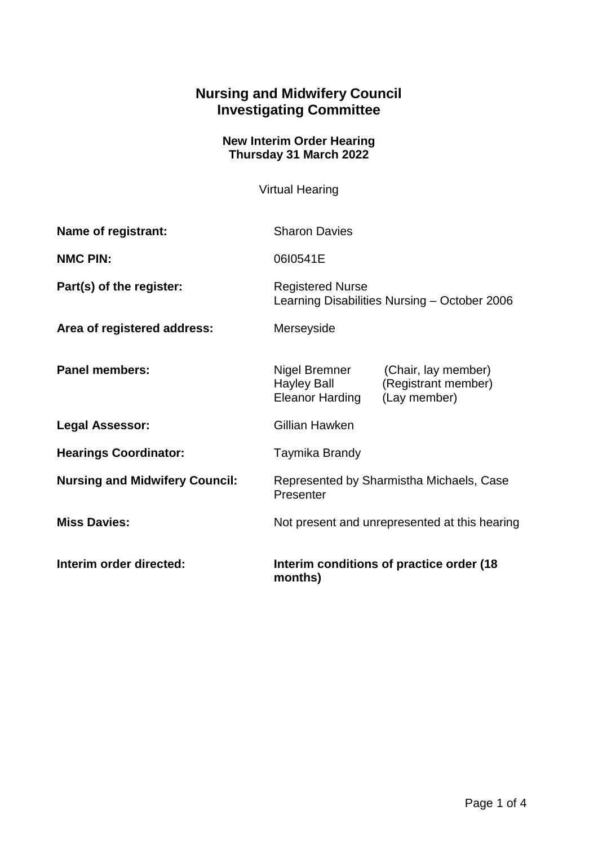## **Nursing and Midwifery Council Investigating Committee**

## **New Interim Order Hearing Thursday 31 March 2022**

Virtual Hearing

| Name of registrant:                   | <b>Sharon Davies</b>                                                    |                                                            |
|---------------------------------------|-------------------------------------------------------------------------|------------------------------------------------------------|
| <b>NMC PIN:</b>                       | 0610541E                                                                |                                                            |
| Part(s) of the register:              | <b>Registered Nurse</b><br>Learning Disabilities Nursing - October 2006 |                                                            |
| Area of registered address:           | Merseyside                                                              |                                                            |
| <b>Panel members:</b>                 | Nigel Bremner<br><b>Hayley Ball</b><br>Eleanor Harding                  | (Chair, lay member)<br>(Registrant member)<br>(Lay member) |
| <b>Legal Assessor:</b>                | Gillian Hawken                                                          |                                                            |
| <b>Hearings Coordinator:</b>          | Taymika Brandy                                                          |                                                            |
| <b>Nursing and Midwifery Council:</b> | Represented by Sharmistha Michaels, Case<br>Presenter                   |                                                            |
| <b>Miss Davies:</b>                   | Not present and unrepresented at this hearing                           |                                                            |
| Interim order directed:               | Interim conditions of practice order (18)<br>months)                    |                                                            |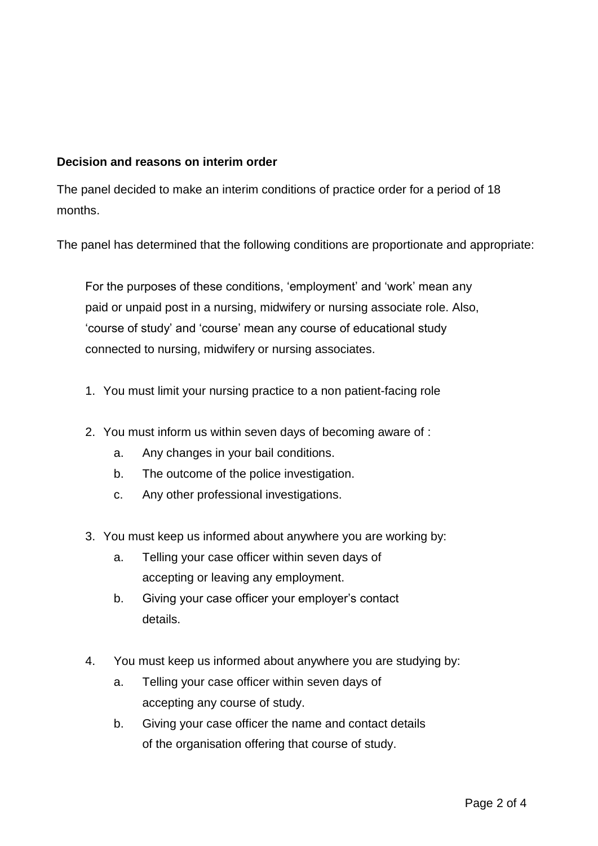## **Decision and reasons on interim order**

The panel decided to make an interim conditions of practice order for a period of 18 months.

The panel has determined that the following conditions are proportionate and appropriate:

For the purposes of these conditions, 'employment' and 'work' mean any paid or unpaid post in a nursing, midwifery or nursing associate role. Also, 'course of study' and 'course' mean any course of educational study connected to nursing, midwifery or nursing associates.

- 1. You must limit your nursing practice to a non patient-facing role
- 2. You must inform us within seven days of becoming aware of :
	- a. Any changes in your bail conditions.
	- b. The outcome of the police investigation.
	- c. Any other professional investigations.
- 3. You must keep us informed about anywhere you are working by:
	- a. Telling your case officer within seven days of accepting or leaving any employment.
	- b. Giving your case officer your employer's contact details.
- 4. You must keep us informed about anywhere you are studying by:
	- a. Telling your case officer within seven days of accepting any course of study.
	- b. Giving your case officer the name and contact details of the organisation offering that course of study.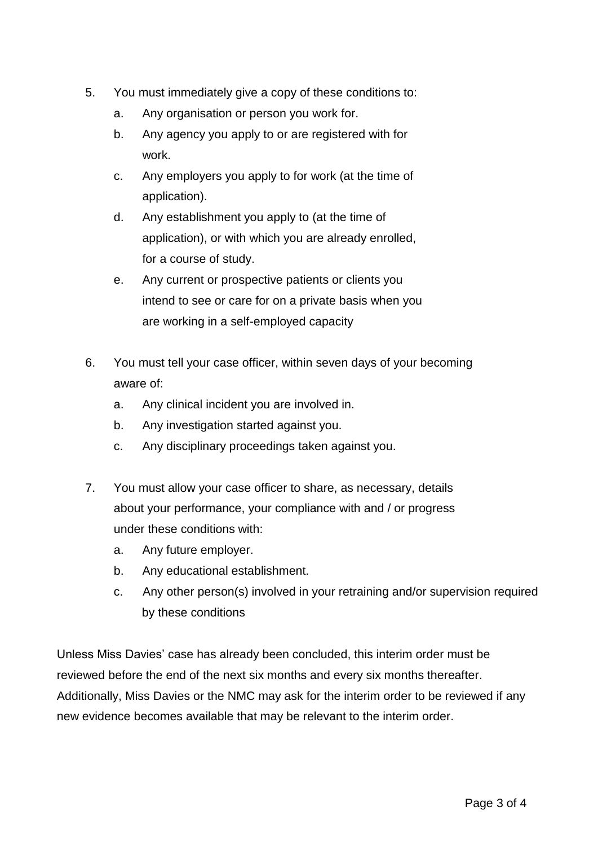- 5. You must immediately give a copy of these conditions to:
	- a. Any organisation or person you work for.
	- b. Any agency you apply to or are registered with for work.
	- c. Any employers you apply to for work (at the time of application).
	- d. Any establishment you apply to (at the time of application), or with which you are already enrolled, for a course of study.
	- e. Any current or prospective patients or clients you intend to see or care for on a private basis when you are working in a self-employed capacity
- 6. You must tell your case officer, within seven days of your becoming aware of:
	- a. Any clinical incident you are involved in.
	- b. Any investigation started against you.
	- c. Any disciplinary proceedings taken against you.
- 7. You must allow your case officer to share, as necessary, details about your performance, your compliance with and / or progress under these conditions with:
	- a. Any future employer.
	- b. Any educational establishment.
	- c. Any other person(s) involved in your retraining and/or supervision required by these conditions

Unless Miss Davies' case has already been concluded, this interim order must be reviewed before the end of the next six months and every six months thereafter. Additionally, Miss Davies or the NMC may ask for the interim order to be reviewed if any new evidence becomes available that may be relevant to the interim order.